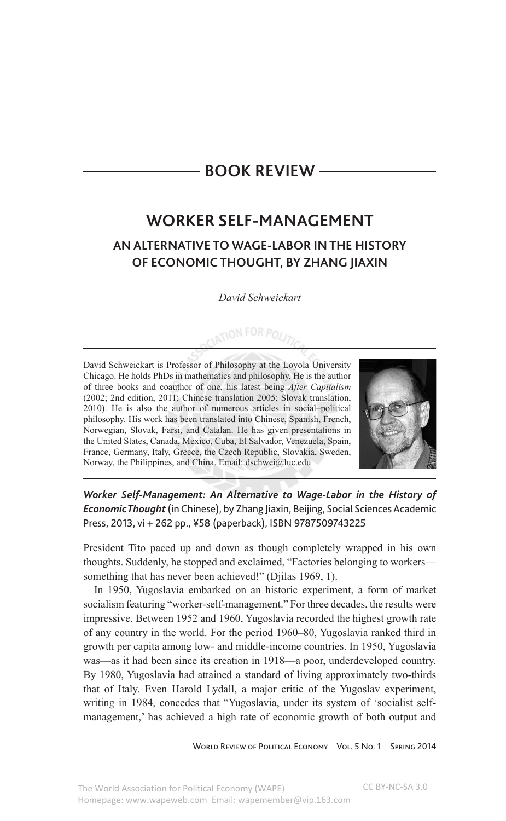## **book REVIEW —**

## **WORKER SELF-MANAGEMENT AN ALTERNATIVE TO WAGE-LABOR IN THE HISTORY OF ECONOMIC THOUGHT, BY ZHANG JIAXIN**

*David Schweickart*

CIATION FOR POLITY

David Schweickart is Professor of Philosophy at the Loyola University Chicago. He holds PhDs in mathematics and philosophy. He is the author of three books and coauthor of one, his latest being *After Capitalism* (2002; 2nd edition, 2011; Chinese translation 2005; Slovak translation, 2010). He is also the author of numerous articles in social–political philosophy. His work has been translated into Chinese, Spanish, French, Norwegian, Slovak, Farsi, and Catalan. He has given presentations in the United States, Canada, Mexico, Cuba, El Salvador, Venezuela, Spain, France, Germany, Italy, Greece, the Czech Republic, Slovakia, Sweden, Norway, the Philippines, and China. Email: dschwei@luc.edu



*Worker Self-Management: An Alternative to Wage-Labor in the History of Economic Thought* (in Chinese), by Zhang Jiaxin, Beijing, Social Sciences Academic Press, 2013, vi + 262 pp., ¥58 (paperback), ISBN 9787509743225

President Tito paced up and down as though completely wrapped in his own thoughts. Suddenly, he stopped and exclaimed, "Factories belonging to workers something that has never been achieved!" (Djilas 1969, 1).

In 1950, Yugoslavia embarked on an historic experiment, a form of market socialism featuring "worker-self-management." For three decades, the results were impressive. Between 1952 and 1960, Yugoslavia recorded the highest growth rate of any country in the world. For the period 1960–80, Yugoslavia ranked third in growth per capita among low- and middle-income countries. In 1950, Yugoslavia was—as it had been since its creation in 1918—a poor, underdeveloped country. By 1980, Yugoslavia had attained a standard of living approximately two-thirds that of Italy. Even Harold Lydall, a major critic of the Yugoslav experiment, writing in 1984, concedes that "Yugoslavia, under its system of 'socialist selfmanagement,' has achieved a high rate of economic growth of both output and

WORLD REVIEW OF POLITICAL ECONOMY VOL. 5 NO. 1 SPRING 2014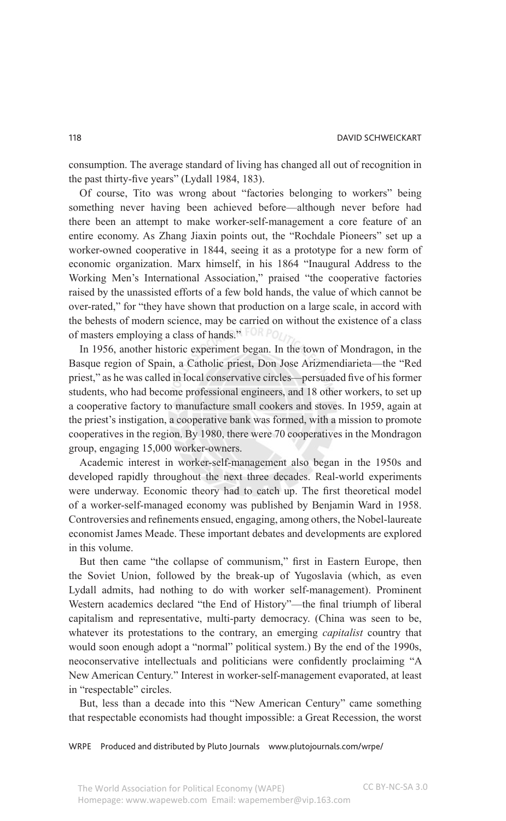consumption. The average standard of living has changed all out of recognition in the past thirty-five years" (Lydall 1984, 183).

Of course, Tito was wrong about "factories belonging to workers" being something never having been achieved before—although never before had there been an attempt to make worker-self-management a core feature of an entire economy. As Zhang Jiaxin points out, the "Rochdale Pioneers" set up a worker-owned cooperative in 1844, seeing it as a prototype for a new form of economic organization. Marx himself, in his 1864 "Inaugural Address to the Working Men's International Association," praised "the cooperative factories raised by the unassisted efforts of a few bold hands, the value of which cannot be over-rated," for "they have shown that production on a large scale, in accord with the behests of modern science, may be carried on without the existence of a class of masters employing a class of hands."

In 1956, another historic experiment began. In the town of Mondragon, in the Basque region of Spain, a Catholic priest, Don Jose Arizmendiarieta—the "Red priest," as he was called in local conservative circles—persuaded five of his former students, who had become professional engineers, and 18 other workers, to set up a cooperative factory to manufacture small cookers and stoves. In 1959, again at the priest's instigation, a cooperative bank was formed, with a mission to promote cooperatives in the region. By 1980, there were 70 cooperatives in the Mondragon group, engaging 15,000 worker-owners.

Academic interest in worker-self-management also began in the 1950s and developed rapidly throughout the next three decades. Real-world experiments were underway. Economic theory had to catch up. The first theoretical model of a worker-self-managed economy was published by Benjamin Ward in 1958. Controversies and refinements ensued, engaging, among others, the Nobel-laureate economist James Meade. These important debates and developments are explored in this volume.

But then came "the collapse of communism," first in Eastern Europe, then the Soviet Union, followed by the break-up of Yugoslavia (which, as even Lydall admits, had nothing to do with worker self-management). Prominent Western academics declared "the End of History"—the final triumph of liberal capitalism and representative, multi-party democracy. (China was seen to be, whatever its protestations to the contrary, an emerging *capitalist* country that would soon enough adopt a "normal" political system.) By the end of the 1990s, neoconservative intellectuals and politicians were confidently proclaiming "A New American Century." Interest in worker-self-management evaporated, at least in "respectable" circles.

But, less than a decade into this "New American Century" came something that respectable economists had thought impossible: a Great Recession, the worst

WRPE Produced and distributed by Pluto Journals www.plutojournals.com/wrpe/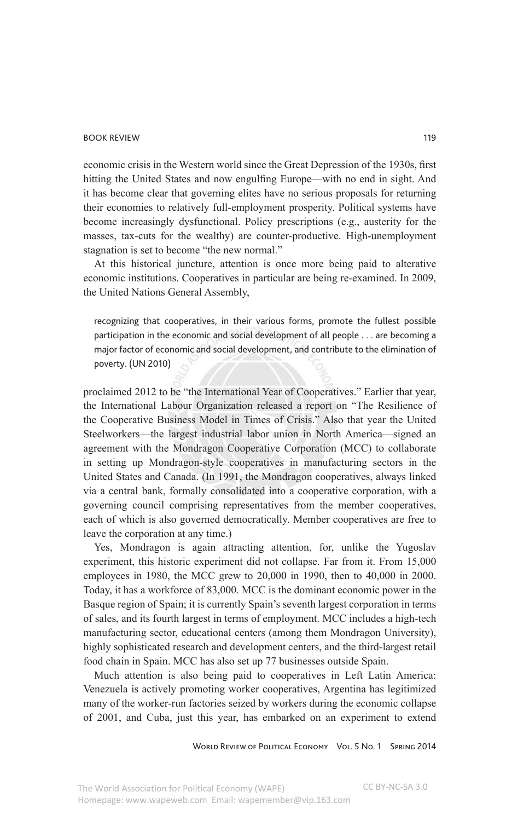## book review 119

economic crisis in the Western world since the Great Depression of the 1930s, first hitting the United States and now engulfing Europe—with no end in sight. And it has become clear that governing elites have no serious proposals for returning their economies to relatively full-employment prosperity. Political systems have become increasingly dysfunctional. Policy prescriptions (e.g., austerity for the masses, tax-cuts for the wealthy) are counter-productive. High-unemployment stagnation is set to become "the new normal."

At this historical juncture, attention is once more being paid to alterative economic institutions. Cooperatives in particular are being re-examined. In 2009, the United Nations General Assembly,

recognizing that cooperatives, in their various forms, promote the fullest possible participation in the economic and social development of all people . . . are becoming a major factor of economic and social development, and contribute to the elimination of poverty. (UN 2010)

proclaimed 2012 to be "the International Year of Cooperatives." Earlier that year, the International Labour Organization released a report on "The Resilience of the Cooperative Business Model in Times of Crisis." Also that year the United Steelworkers—the largest industrial labor union in North America—signed an agreement with the Mondragon Cooperative Corporation (MCC) to collaborate in setting up Mondragon-style cooperatives in manufacturing sectors in the United States and Canada. (In 1991, the Mondragon cooperatives, always linked via a central bank, formally consolidated into a cooperative corporation, with a governing council comprising representatives from the member cooperatives, each of which is also governed democratically. Member cooperatives are free to leave the corporation at any time.)

Yes, Mondragon is again attracting attention, for, unlike the Yugoslav experiment, this historic experiment did not collapse. Far from it. From 15,000 employees in 1980, the MCC grew to 20,000 in 1990, then to 40,000 in 2000. Today, it has a workforce of 83,000. MCC is the dominant economic power in the Basque region of Spain; it is currently Spain's seventh largest corporation in terms of sales, and its fourth largest in terms of employment. MCC includes a high-tech manufacturing sector, educational centers (among them Mondragon University), highly sophisticated research and development centers, and the third-largest retail food chain in Spain. MCC has also set up 77 businesses outside Spain.

Much attention is also being paid to cooperatives in Left Latin America: Venezuela is actively promoting worker cooperatives, Argentina has legitimized many of the worker-run factories seized by workers during the economic collapse of 2001, and Cuba, just this year, has embarked on an experiment to extend

WORLD REVIEW OF POLITICAL ECONOMY VOL. 5 NO. 1 SPRING 2014